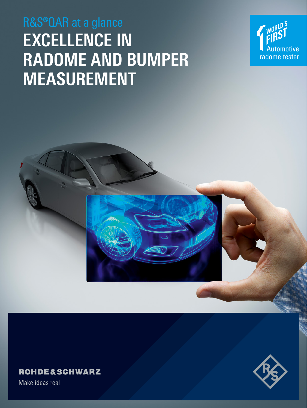### R&S®QAR at a glance **EXCELLENCE IN RADOME AND BUMPER MEASUREMENT**





### **ROHDE&SCHWARZ**

Make ideas real

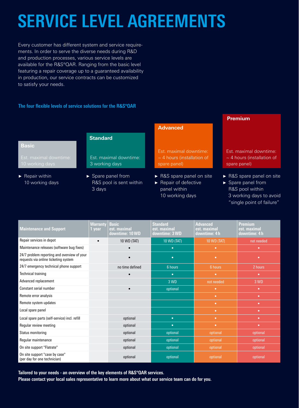# **SERVICE LEVEL AGREEMENTS**

Every customer has different system and service requirements. In order to serve the diverse needs during R&D and production processes, various service levels are available for the R&S®QAR. Ranging from the basic level featuring a repair coverage up to a guaranteed availability in production, our service contracts can be customized to satisfy your needs.

### **The four flexible levels of service solutions for the R&S®QAR**

### **Basic**

 $\blacktriangleright$  Repair within 10 working days

### **Standard**

Est. maximal downtime: 3 working days

► Spare panel from R&S pool is sent within 3 days

### **Advanced**

Est. maximal downtime:  $\sim$  4 hours (installation of spare panel)

- ► R&S spare panel on site
- ► Repair of defective panel within 10 working days

### **Premium**

Est. maximal downtime:  $\sim$  4 hours (installation of spare panel)

- ► R&S spare panel on site
- ► Spare panel from R&S pool within 3 working days to avoid "single point of failure"

| <b>Maintenance and Support</b>                                                      | <b>Warranty</b><br>1 year | <b>Basic</b><br>est. maximal<br>downtime: 10 WD | <b>Standard</b><br>est. maximal<br>downtime: 3 WD | <b>Advanced</b><br>est. maximal<br>downtime: 4h | Premium<br>est. maximal<br>downtime: 4h |
|-------------------------------------------------------------------------------------|---------------------------|-------------------------------------------------|---------------------------------------------------|-------------------------------------------------|-----------------------------------------|
| Repair services in depot                                                            | $\bullet$                 | 10 WD (TAT)                                     | <b>10 WD (TAT)</b>                                | <b>10 WD (TAT)</b>                              | not needed                              |
| Maintenance releases (software bug fixes)                                           |                           |                                                 | $\bullet$                                         | $\bullet$                                       | $\bullet$                               |
| 24/7 problem reporting and overview of your<br>requests via online ticketing system |                           |                                                 | $\bullet$                                         | $\bullet$                                       | $\bullet$                               |
| 24/7 emergency technical phone support                                              |                           | no time defined                                 | 6 hours                                           | 6 hours                                         | 2 hours                                 |
| <b>Technical training</b>                                                           |                           |                                                 | $\bullet$                                         | $\bullet$                                       | $\bullet$                               |
| Advanced replacement                                                                |                           |                                                 | 3 WD                                              | not needed                                      | 3 WD                                    |
| Constant serial number                                                              |                           | $\bullet$                                       | optional                                          | $\bullet$                                       | ٠                                       |
| Remote error analysis                                                               |                           |                                                 |                                                   | ٠                                               | ٠                                       |
| Remote system updates                                                               |                           |                                                 |                                                   | $\bullet$                                       | $\bullet$                               |
| Local spare panel                                                                   |                           |                                                 |                                                   | $\bullet$                                       | $\bullet$                               |
| Local spare parts (self-service) incl. refill                                       |                           | optional                                        | $\bullet$                                         | $\bullet$                                       | $\bullet$                               |
| Regular review meeting                                                              |                           | optional                                        | $\bullet$                                         | $\bullet$                                       | ٠                                       |
| Status monitoring                                                                   |                           | optional                                        | optional                                          | optional                                        | optional                                |
| Regular maintenance                                                                 |                           | optional                                        | optional                                          | optional                                        | optional                                |
| On site support "Flatrate"                                                          |                           | optional                                        | optional                                          | optional                                        | optional                                |
| On site support "case by case"<br>(per day for one technician)                      |                           | optional                                        | optional                                          | optional                                        | optional                                |

**Tailored to your needs - an overview of the key elements of R&S®QAR services.** 

**Please contact your local sales representative to learn more about what our service team can do for you.**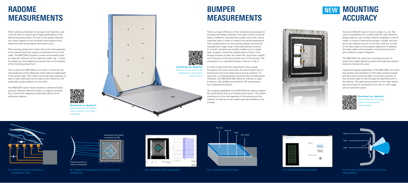



Fig. 4: Composition of a typical bumper



There is a huge difference in the manufacturing process for bumpers and design radomes. The latter consist of several layers of different materials and usually come with a shiny, metal-like layer in order to improve the optical appearance. They usually feature an eye-catching design showing the manufacturer's logo using a three-dimensional structure. In contrast, bumpers are usually molded out of a single layer of plastic covered by several layers of paint. Even though all layers of paint are rather thin, they have a significant influence on the transmission loss of the bumper. The composition of a standard bumper is shown in Fig. 4.

In order to check that the transmission loss is equal throughout the radar active area, the transmission loss of the bumper has to be measured at several positions. To save time, all measurements are performed simultaneously. Therefore, the R&S®QAR-Z60 reference reflector is used. It features 102 needles and therefore 102 transmission loss measurement points.

The imaging capabilities of the R&S®QAR are used to analyze the transmission loss at all measurement points. This allows conclusions on the homogeneity of the painting and the material, as well as on the overall radar penetrability of the bumper.

This is where the  $RAS^{\circ}OAR$  is at its best: it measures the inhomogeneity of the reflectivity of the radome independent of the actual radar. This means: every transition between an area of high reflectivity and an area of low reflectivity will potentially cause problems for the radar.

The R&S®OAR makes these transitions visible and helps produce radomes with less impact on angular accuracy. Fig. 2 shows the mapping as described above for an exemplary radome.



## **RADOME MEASUREMENTS**

## **BUMPER MEASUREMENTS**

**Download our AppCard:** Quality automotive radome tester analyzes your radar integration

**Download our AppCard:** Testing bumper material for installation of automotive radar sensors

Fig. 1: Distortion of a plane wavefront by an inhomogeneous radome

Fig. 2: Mapping of inhomogeinities of the radome to potential boresight errors



Fig. 3: Software for radome measurements



When selecting materials for bumpers and radomes, care must be taken to ensure good signal penetrability in the desired frequency band. The use of low-quality radomes can impair signals to such an extent that angular errors, distortions and strong signal attenuation occur.

The incoming phase front is bent due to the inhomogeneity of the radome and thus causes an estimation error in the radar. The R&S®OAR provides a unique and powerful way to make this influence of the radomes visible. Fig. 1 shows the effects an inhomogeneous radome has on the linearity of the incoming phase front.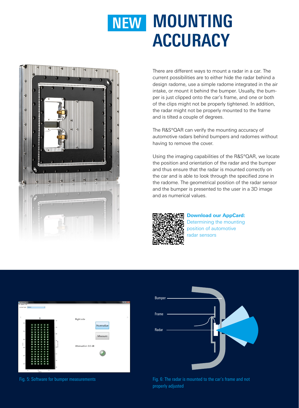



There are different ways to mount a radar in a car. The current possibilities are to either hide the radar behind a design radome, use a simple radome integrated in the air intake, or mount it behind the bumper. Usually, the bumper is just clipped onto the car's frame, and one or both of the clips might not be properly tightened. In addition, the radar might not be properly mounted to the frame and is tilted a couple of degrees.

The R&S®QAR can verify the mounting accuracy of automotive radars behind bumpers and radomes without having to remove the cover.

Using the imaging capabilities of the R&S®QAR, we locate the position and orientation of the radar and the bumper and thus ensure that the radar is mounted correctly on the car and is able to look through the specified zone in the radome. The geometrical position of the radar sensor and the bumper is presented to the user in a 3D image and as numerical values.



**Download our AppCard:** Determining the mounting position of automotive radar sensors





Fig. 5: Software for bumper measurements Fig. 6: The radar is mounted to the car's frame and not properly adjusted